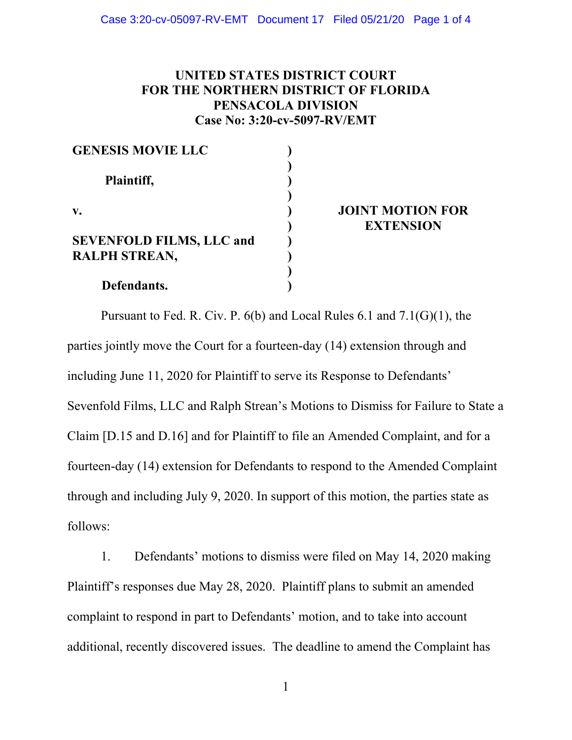## **UNITED STATES DISTRICT COURT FOR THE NORTHERN DISTRICT OF FLORIDA PENSACOLA DIVISION Case No: 3:20-cv-5097-RV/EMT**

| <b>GENESIS MOVIE LLC</b>                                |  |
|---------------------------------------------------------|--|
| Plaintiff,                                              |  |
| v.                                                      |  |
| <b>SEVENFOLD FILMS, LLC and</b><br><b>RALPH STREAN,</b> |  |
| Defendants.                                             |  |

#### **JOINT MOTION FOR EXTENSION**

Pursuant to Fed. R. Civ. P. 6(b) and Local Rules 6.1 and 7.1(G)(1), the parties jointly move the Court for a fourteen-day (14) extension through and including June 11, 2020 for Plaintiff to serve its Response to Defendants' Sevenfold Films, LLC and Ralph Strean's Motions to Dismiss for Failure to State a Claim [D.15 and D.16] and for Plaintiff to file an Amended Complaint, and for a fourteen-day (14) extension for Defendants to respond to the Amended Complaint through and including July 9, 2020. In support of this motion, the parties state as follows:

1. Defendants' motions to dismiss were filed on May 14, 2020 making Plaintiff's responses due May 28, 2020. Plaintiff plans to submit an amended complaint to respond in part to Defendants' motion, and to take into account additional, recently discovered issues. The deadline to amend the Complaint has

1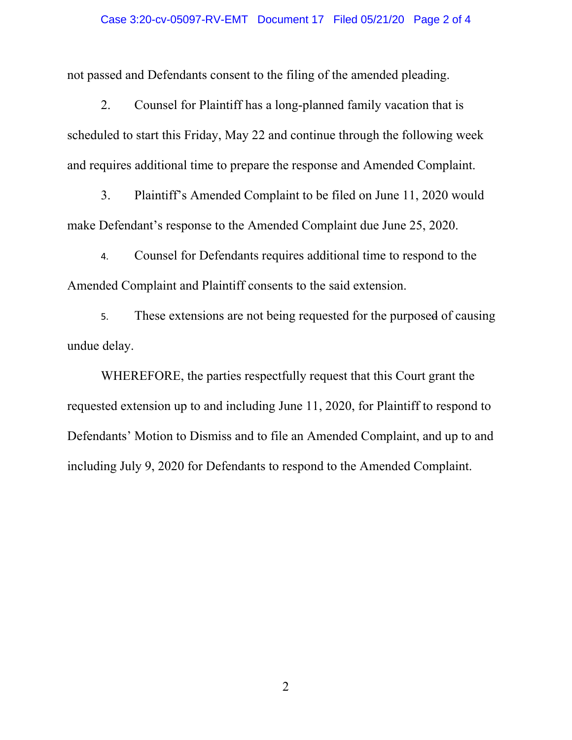#### Case 3:20-cv-05097-RV-EMT Document 17 Filed 05/21/20 Page 2 of 4

not passed and Defendants consent to the filing of the amended pleading.

2. Counsel for Plaintiff has a long-planned family vacation that is scheduled to start this Friday, May 22 and continue through the following week and requires additional time to prepare the response and Amended Complaint.

3. Plaintiff's Amended Complaint to be filed on June 11, 2020 would make Defendant's response to the Amended Complaint due June 25, 2020.

4. Counsel for Defendants requires additional time to respond to the Amended Complaint and Plaintiff consents to the said extension.

5. These extensions are not being requested for the purposed of causing undue delay.

 WHEREFORE, the parties respectfully request that this Court grant the requested extension up to and including June 11, 2020, for Plaintiff to respond to Defendants' Motion to Dismiss and to file an Amended Complaint, and up to and including July 9, 2020 for Defendants to respond to the Amended Complaint.

2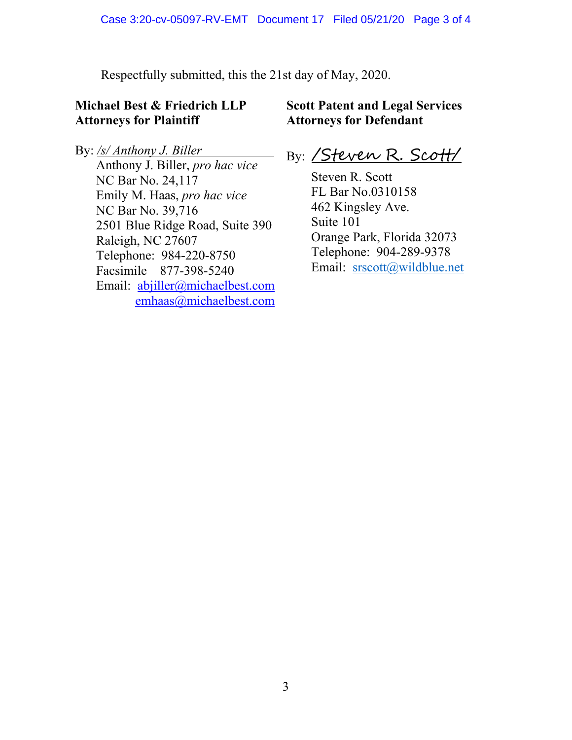Respectfully submitted, this the 21st day of May, 2020.

# **Michael Best & Friedrich LLP Attorneys for Plaintiff**

# **Scott Patent and Legal Services Attorneys for Defendant**

By: */s/ Anthony J. Biller*  Anthony J. Biller, *pro hac vice* NC Bar No. 24,117 Emily M. Haas, *pro hac vice* NC Bar No. 39,716 2501 Blue Ridge Road, Suite 390 Raleigh, NC 27607 Telephone: 984-220-8750 Facsimile 877-398-5240 Email: abjiller@michaelbest.com emhaas@michaelbest.com

By: /Steven R. Scott/

Steven R. Scott FL Bar No.0310158 462 Kingsley Ave. Suite 101 Orange Park, Florida 32073 Telephone: 904-289-9378 Email: srscott@wildblue.net